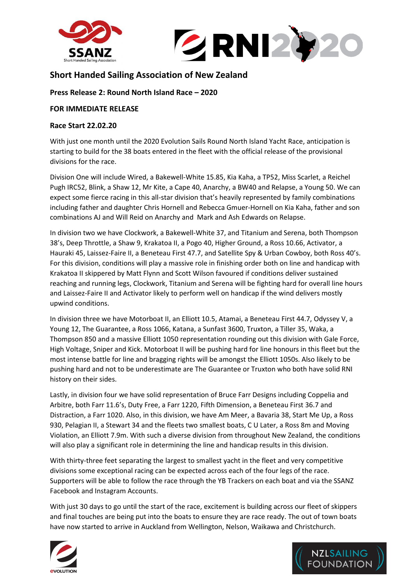



# **Short Handed Sailing Association of New Zealand**

## **Press Release 2: Round North Island Race – 2020**

### **FOR IMMEDIATE RELEASE**

#### **Race Start 22.02.20**

With just one month until the 2020 Evolution Sails Round North Island Yacht Race, anticipation is starting to build for the 38 boats entered in the fleet with the official release of the provisional divisions for the race.

Division One will include Wired, a Bakewell-White 15.85, Kia Kaha, a TP52, Miss Scarlet, a Reichel Pugh IRC52, Blink, a Shaw 12, Mr Kite, a Cape 40, Anarchy, a BW40 and Relapse, a Young 50. We can expect some fierce racing in this all-star division that's heavily represented by family combinations including father and daughter Chris Hornell and Rebecca Gmuer-Hornell on Kia Kaha, father and son combinations AJ and Will Reid on Anarchy and Mark and Ash Edwards on Relapse.

In division two we have Clockwork, a Bakewell-White 37, and Titanium and Serena, both Thompson 38's, Deep Throttle, a Shaw 9, Krakatoa II, a Pogo 40, Higher Ground, a Ross 10.66, Activator, a Hauraki 45, Laissez-Faire II, a Beneteau First 47.7, and Satellite Spy & Urban Cowboy, both Ross 40's. For this division, conditions will play a massive role in finishing order both on line and handicap with Krakatoa II skippered by Matt Flynn and Scott Wilson favoured if conditions deliver sustained reaching and running legs, Clockwork, Titanium and Serena will be fighting hard for overall line hours and Laissez-Faire II and Activator likely to perform well on handicap if the wind delivers mostly upwind conditions.

In division three we have Motorboat II, an Elliott 10.5, Atamai, a Beneteau First 44.7, Odyssey V, a Young 12, The Guarantee, a Ross 1066, Katana, a Sunfast 3600, Truxton, a Tiller 35, Waka, a Thompson 850 and a massive Elliott 1050 representation rounding out this division with Gale Force, High Voltage, Sniper and Kick. Motorboat II will be pushing hard for line honours in this fleet but the most intense battle for line and bragging rights will be amongst the Elliott 1050s. Also likely to be pushing hard and not to be underestimate are The Guarantee or Truxton who both have solid RNI history on their sides.

Lastly, in division four we have solid representation of Bruce Farr Designs including Coppelia and Arbitre, both Farr 11.6's, Duty Free, a Farr 1220, Fifth Dimension, a Beneteau First 36.7 and Distraction, a Farr 1020. Also, in this division, we have Am Meer, a Bavaria 38, Start Me Up, a Ross 930, Pelagian II, a Stewart 34 and the fleets two smallest boats, C U Later, a Ross 8m and Moving Violation, an Elliott 7.9m. With such a diverse division from throughout New Zealand, the conditions will also play a significant role in determining the line and handicap results in this division.

With thirty-three feet separating the largest to smallest yacht in the fleet and very competitive divisions some exceptional racing can be expected across each of the four legs of the race. Supporters will be able to follow the race through the YB Trackers on each boat and via the SSANZ Facebook and Instagram Accounts.

With just 30 days to go until the start of the race, excitement is building across our fleet of skippers and final touches are being put into the boats to ensure they are race ready. The out of town boats have now started to arrive in Auckland from Wellington, Nelson, Waikawa and Christchurch.